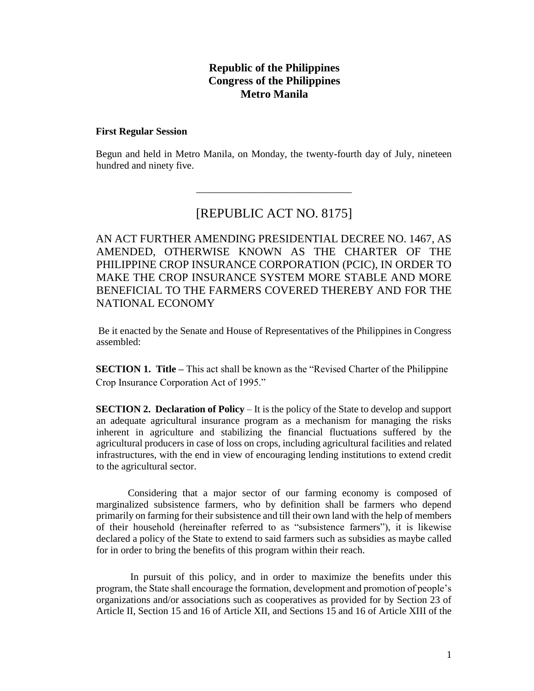## **Republic of the Philippines Congress of the Philippines Metro Manila**

#### **First Regular Session**

Begun and held in Metro Manila, on Monday, the twenty-fourth day of July, nineteen hundred and ninety five.

# [REPUBLIC ACT NO. 8175]

\_\_\_\_\_\_\_\_\_\_\_\_\_\_\_\_\_\_\_\_\_\_\_\_\_\_\_\_\_\_\_

AN ACT FURTHER AMENDING PRESIDENTIAL DECREE NO. 1467, AS AMENDED, OTHERWISE KNOWN AS THE CHARTER OF THE PHILIPPINE CROP INSURANCE CORPORATION (PCIC), IN ORDER TO MAKE THE CROP INSURANCE SYSTEM MORE STABLE AND MORE BENEFICIAL TO THE FARMERS COVERED THEREBY AND FOR THE NATIONAL ECONOMY

Be it enacted by the Senate and House of Representatives of the Philippines in Congress assembled:

**SECTION 1. Title –** This act shall be known as the "Revised Charter of the Philippine Crop Insurance Corporation Act of 1995."

**SECTION 2. Declaration of Policy** – It is the policy of the State to develop and support an adequate agricultural insurance program as a mechanism for managing the risks inherent in agriculture and stabilizing the financial fluctuations suffered by the agricultural producers in case of loss on crops, including agricultural facilities and related infrastructures, with the end in view of encouraging lending institutions to extend credit to the agricultural sector.

Considering that a major sector of our farming economy is composed of marginalized subsistence farmers, who by definition shall be farmers who depend primarily on farming for their subsistence and till their own land with the help of members of their household (hereinafter referred to as "subsistence farmers"), it is likewise declared a policy of the State to extend to said farmers such as subsidies as maybe called for in order to bring the benefits of this program within their reach.

In pursuit of this policy, and in order to maximize the benefits under this program, the State shall encourage the formation, development and promotion of people's organizations and/or associations such as cooperatives as provided for by Section 23 of Article II, Section 15 and 16 of Article XII, and Sections 15 and 16 of Article XIII of the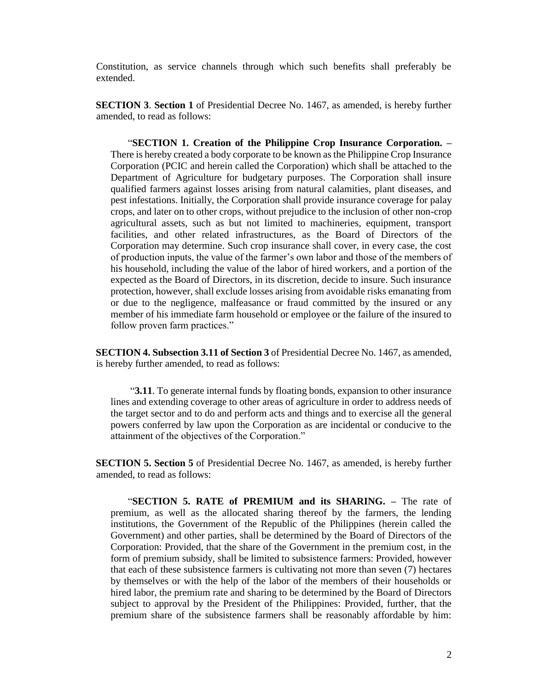Constitution, as service channels through which such benefits shall preferably be extended.

**SECTION 3**. **Section 1** of Presidential Decree No. 1467, as amended, is hereby further amended, to read as follows:

 "**SECTION 1. Creation of the Philippine Crop Insurance Corporation. –** There is hereby created a body corporate to be known as the Philippine Crop Insurance Corporation (PCIC and herein called the Corporation) which shall be attached to the Department of Agriculture for budgetary purposes. The Corporation shall insure qualified farmers against losses arising from natural calamities, plant diseases, and pest infestations. Initially, the Corporation shall provide insurance coverage for palay crops, and later on to other crops, without prejudice to the inclusion of other non-crop agricultural assets, such as but not limited to machineries, equipment, transport facilities, and other related infrastructures, as the Board of Directors of the Corporation may determine. Such crop insurance shall cover, in every case, the cost of production inputs, the value of the farmer's own labor and those of the members of his household, including the value of the labor of hired workers, and a portion of the expected as the Board of Directors, in its discretion, decide to insure. Such insurance protection, however, shall exclude losses arising from avoidable risks emanating from or due to the negligence, malfeasance or fraud committed by the insured or any member of his immediate farm household or employee or the failure of the insured to follow proven farm practices."

**SECTION 4. Subsection 3.11 of Section 3** of Presidential Decree No. 1467, as amended, is hereby further amended, to read as follows:

"**3.11**. To generate internal funds by floating bonds, expansion to other insurance lines and extending coverage to other areas of agriculture in order to address needs of the target sector and to do and perform acts and things and to exercise all the general powers conferred by law upon the Corporation as are incidental or conducive to the attainment of the objectives of the Corporation."

**SECTION 5. Section 5** of Presidential Decree No. 1467, as amended, is hereby further amended, to read as follows:

"**SECTION 5. RATE of PREMIUM and its SHARING. –** The rate of premium, as well as the allocated sharing thereof by the farmers, the lending institutions, the Government of the Republic of the Philippines (herein called the Government) and other parties, shall be determined by the Board of Directors of the Corporation: Provided, that the share of the Government in the premium cost, in the form of premium subsidy, shall be limited to subsistence farmers: Provided, however that each of these subsistence farmers is cultivating not more than seven (7) hectares by themselves or with the help of the labor of the members of their households or hired labor, the premium rate and sharing to be determined by the Board of Directors subject to approval by the President of the Philippines: Provided, further, that the premium share of the subsistence farmers shall be reasonably affordable by him: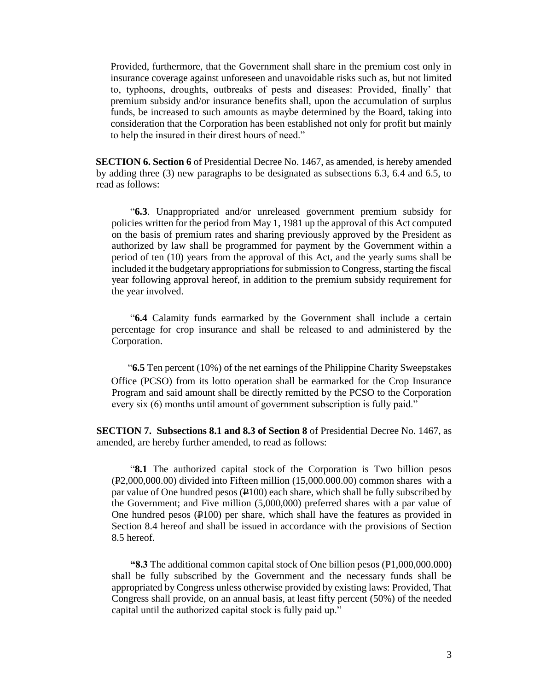Provided, furthermore, that the Government shall share in the premium cost only in insurance coverage against unforeseen and unavoidable risks such as, but not limited to, typhoons, droughts, outbreaks of pests and diseases: Provided, finally' that premium subsidy and/or insurance benefits shall, upon the accumulation of surplus funds, be increased to such amounts as maybe determined by the Board, taking into consideration that the Corporation has been established not only for profit but mainly to help the insured in their direst hours of need."

**SECTION 6. Section 6** of Presidential Decree No. 1467, as amended, is hereby amended by adding three (3) new paragraphs to be designated as subsections 6.3, 6.4 and 6.5, to read as follows:

"**6.3**. Unappropriated and/or unreleased government premium subsidy for policies written for the period from May 1, 1981 up the approval of this Act computed on the basis of premium rates and sharing previously approved by the President as authorized by law shall be programmed for payment by the Government within a period of ten (10) years from the approval of this Act, and the yearly sums shall be included it the budgetary appropriations for submission to Congress, starting the fiscal year following approval hereof, in addition to the premium subsidy requirement for the year involved.

"**6.4** Calamity funds earmarked by the Government shall include a certain percentage for crop insurance and shall be released to and administered by the Corporation.

"**6.5** Ten percent (10%) of the net earnings of the Philippine Charity Sweepstakes Office (PCSO) from its lotto operation shall be earmarked for the Crop Insurance Program and said amount shall be directly remitted by the PCSO to the Corporation every six (6) months until amount of government subscription is fully paid."

**SECTION 7. Subsections 8.1 and 8.3 of Section 8** of Presidential Decree No. 1467, as amended, are hereby further amended, to read as follows:

"**8.1** The authorized capital stock of the Corporation is Two billion pesos  $(F2,000,000.00)$  divided into Fifteen million (15,000.000.00) common shares with a par value of One hundred pesos  $(4100)$  each share, which shall be fully subscribed by the Government; and Five million (5,000,000) preferred shares with a par value of One hundred pesos  $(\frac{100}{9})$  per share, which shall have the features as provided in Section 8.4 hereof and shall be issued in accordance with the provisions of Section 8.5 hereof.

**"8.3** The additional common capital stock of One billion pesos (P1,000,000.000) shall be fully subscribed by the Government and the necessary funds shall be appropriated by Congress unless otherwise provided by existing laws: Provided, That Congress shall provide, on an annual basis, at least fifty percent (50%) of the needed capital until the authorized capital stock is fully paid up."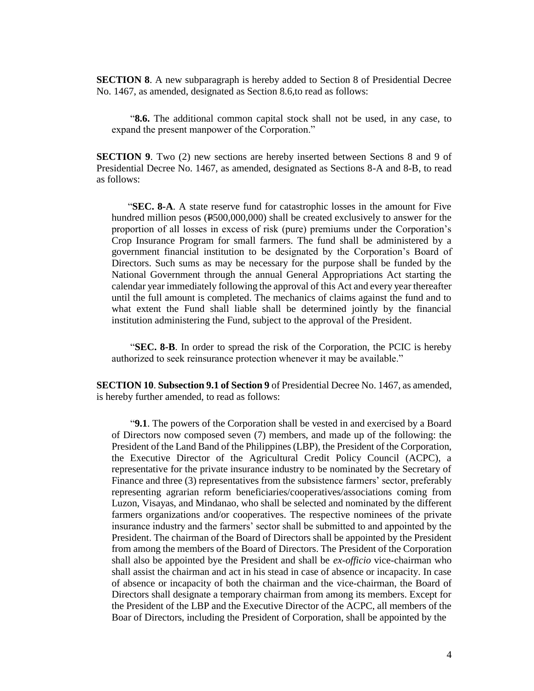**SECTION 8**. A new subparagraph is hereby added to Section 8 of Presidential Decree No. 1467, as amended, designated as Section 8.6,to read as follows:

"**8.6.** The additional common capital stock shall not be used, in any case, to expand the present manpower of the Corporation."

**SECTION 9**. Two (2) new sections are hereby inserted between Sections 8 and 9 of Presidential Decree No. 1467, as amended, designated as Sections 8-A and 8-B, to read as follows:

"**SEC. 8-A**. A state reserve fund for catastrophic losses in the amount for Five hundred million pesos ( $\text{\textsterling}500,000,000$ ) shall be created exclusively to answer for the proportion of all losses in excess of risk (pure) premiums under the Corporation's Crop Insurance Program for small farmers. The fund shall be administered by a government financial institution to be designated by the Corporation's Board of Directors. Such sums as may be necessary for the purpose shall be funded by the National Government through the annual General Appropriations Act starting the calendar year immediately following the approval of this Act and every year thereafter until the full amount is completed. The mechanics of claims against the fund and to what extent the Fund shall liable shall be determined jointly by the financial institution administering the Fund, subject to the approval of the President.

"**SEC. 8-B**. In order to spread the risk of the Corporation, the PCIC is hereby authorized to seek reinsurance protection whenever it may be available."

**SECTION 10**. **Subsection 9.1 of Section 9** of Presidential Decree No. 1467, as amended, is hereby further amended, to read as follows:

"**9.1**. The powers of the Corporation shall be vested in and exercised by a Board of Directors now composed seven (7) members, and made up of the following: the President of the Land Band of the Philippines (LBP), the President of the Corporation, the Executive Director of the Agricultural Credit Policy Council (ACPC), a representative for the private insurance industry to be nominated by the Secretary of Finance and three (3) representatives from the subsistence farmers' sector, preferably representing agrarian reform beneficiaries/cooperatives/associations coming from Luzon, Visayas, and Mindanao, who shall be selected and nominated by the different farmers organizations and/or cooperatives. The respective nominees of the private insurance industry and the farmers' sector shall be submitted to and appointed by the President. The chairman of the Board of Directors shall be appointed by the President from among the members of the Board of Directors. The President of the Corporation shall also be appointed bye the President and shall be *ex-officio* vice-chairman who shall assist the chairman and act in his stead in case of absence or incapacity. In case of absence or incapacity of both the chairman and the vice-chairman, the Board of Directors shall designate a temporary chairman from among its members. Except for the President of the LBP and the Executive Director of the ACPC, all members of the Boar of Directors, including the President of Corporation, shall be appointed by the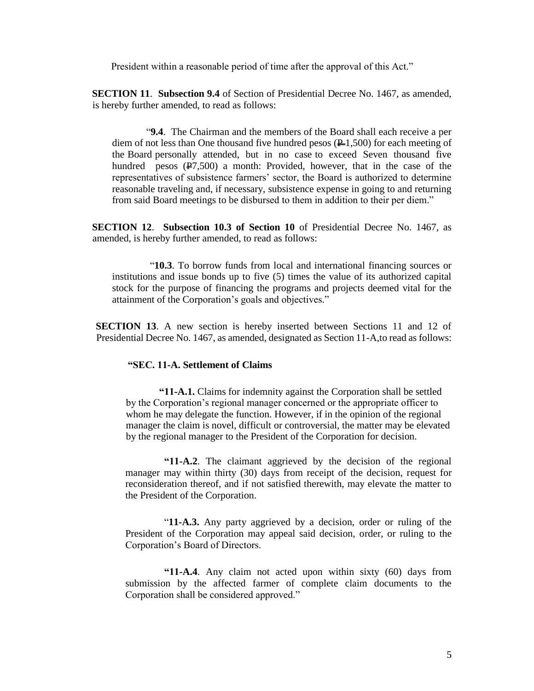President within a reasonable period of time after the approval of this Act."

**SECTION 11**. **Subsection 9.4** of Section of Presidential Decree No. 1467, as amended, is hereby further amended, to read as follows:

"**9.4**. The Chairman and the members of the Board shall each receive a per diem of not less than One thousand five hundred pesos  $(\frac{p}{\sqrt{1}}),$  for each meeting of the Board personally attended, but in no case to exceed Seven thousand five hundred pesos  $(\overline{P7}, 500)$  a month: Provided, however, that in the case of the representatives of subsistence farmers' sector, the Board is authorized to determine reasonable traveling and, if necessary, subsistence expense in going to and returning from said Board meetings to be disbursed to them in addition to their per diem."

**SECTION 12**. **Subsection 10.3 of Section 10** of Presidential Decree No. 1467, as amended, is hereby further amended, to read as follows:

"**10.3**. To borrow funds from local and international financing sources or institutions and issue bonds up to five (5) times the value of its authorized capital stock for the purpose of financing the programs and projects deemed vital for the attainment of the Corporation's goals and objectives."

**SECTION 13**. A new section is hereby inserted between Sections 11 and 12 of Presidential Decree No. 1467, as amended, designated as Section 11-A,to read as follows:

#### **"SEC. 11-A. Settlement of Claims**

**"11-A.1.** Claims for indemnity against the Corporation shall be settled by the Corporation's regional manager concerned or the appropriate officer to whom he may delegate the function. However, if in the opinion of the regional manager the claim is novel, difficult or controversial, the matter may be elevated by the regional manager to the President of the Corporation for decision.

 **"11-A.2**. The claimant aggrieved by the decision of the regional manager may within thirty (30) days from receipt of the decision, request for reconsideration thereof, and if not satisfied therewith, may elevate the matter to the President of the Corporation.

 "**11-A.3.** Any party aggrieved by a decision, order or ruling of the President of the Corporation may appeal said decision, order, or ruling to the Corporation's Board of Directors.

 **"11-A.4**. Any claim not acted upon within sixty (60) days from submission by the affected farmer of complete claim documents to the Corporation shall be considered approved."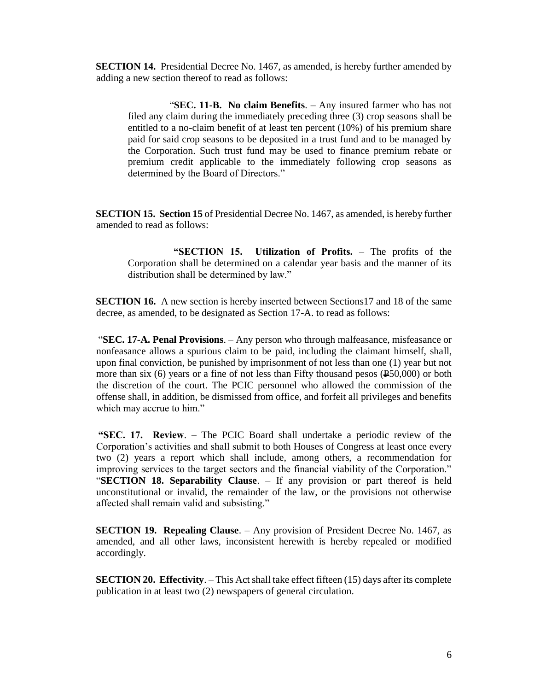**SECTION 14.** Presidential Decree No. 1467, as amended, is hereby further amended by adding a new section thereof to read as follows:

"**SEC. 11-B. No claim Benefits**. – Any insured farmer who has not filed any claim during the immediately preceding three (3) crop seasons shall be entitled to a no-claim benefit of at least ten percent (10%) of his premium share paid for said crop seasons to be deposited in a trust fund and to be managed by the Corporation. Such trust fund may be used to finance premium rebate or premium credit applicable to the immediately following crop seasons as determined by the Board of Directors."

**SECTION 15. Section 15** of Presidential Decree No. 1467, as amended, is hereby further amended to read as follows:

**"SECTION 15. Utilization of Profits.** – The profits of the Corporation shall be determined on a calendar year basis and the manner of its distribution shall be determined by law."

**SECTION 16.** A new section is hereby inserted between Sections17 and 18 of the same decree, as amended, to be designated as Section 17-A. to read as follows:

"**SEC. 17-A. Penal Provisions**. – Any person who through malfeasance, misfeasance or nonfeasance allows a spurious claim to be paid, including the claimant himself, shall, upon final conviction, be punished by imprisonment of not less than one (1) year but not more than six  $(6)$  years or a fine of not less than Fifty thousand pesos  $(250,000)$  or both the discretion of the court. The PCIC personnel who allowed the commission of the offense shall, in addition, be dismissed from office, and forfeit all privileges and benefits which may accrue to him."

**"SEC. 17. Review**. – The PCIC Board shall undertake a periodic review of the Corporation's activities and shall submit to both Houses of Congress at least once every two (2) years a report which shall include, among others, a recommendation for improving services to the target sectors and the financial viability of the Corporation." "**SECTION 18. Separability Clause**. – If any provision or part thereof is held unconstitutional or invalid, the remainder of the law, or the provisions not otherwise affected shall remain valid and subsisting."

**SECTION 19. Repealing Clause**. – Any provision of President Decree No. 1467, as amended, and all other laws, inconsistent herewith is hereby repealed or modified accordingly.

**SECTION 20. Effectivity**. – This Act shall take effect fifteen (15) days after its complete publication in at least two (2) newspapers of general circulation.